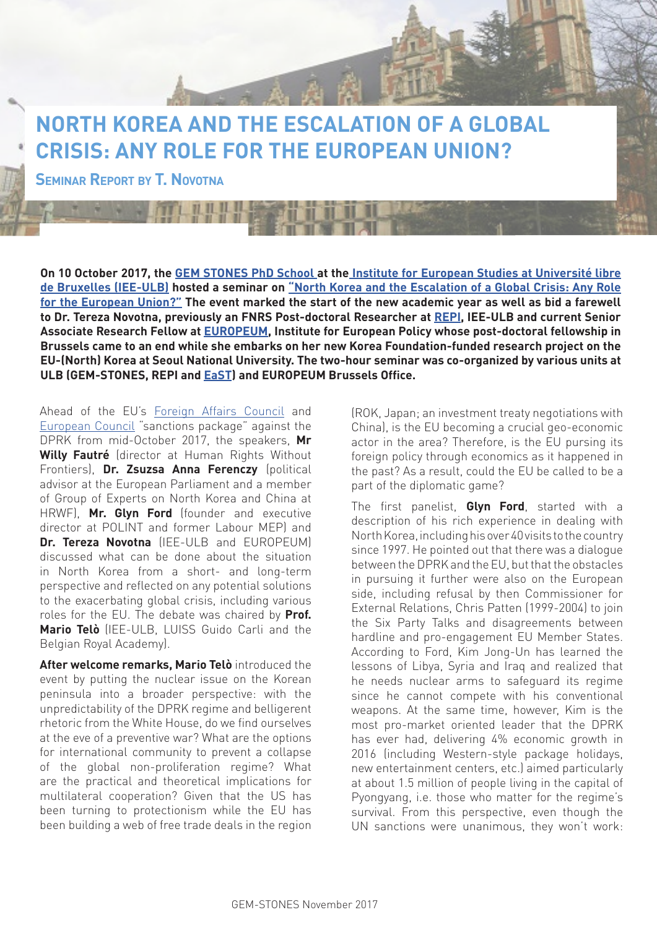## **NORTH KOREA AND THE ESCALATION OF A GLOBAL CRISIS: ANY ROLE FOR THE EUROPEAN UNION?**

**Seminar Report by T. Novotna**

**On 10 October 2017, the [GEM STONES PhD School a](https://gem-stones.eu/)t th[e Institute for European Studies at Université libre](http://www.iee-ulb.eu/en)  [de Bruxelles \(IEE-ULB\)](http://www.iee-ulb.eu/en) hosted a seminar on ["North Korea and the Escalation of a Global Crisis: Any Role](https://www.facebook.com/events/1298991743543899)  [for the European Union?"](https://www.facebook.com/events/1298991743543899) The event marked the start of the new academic year as well as bid a farewell to Dr. Tereza Novotna, previously an FNRS Post-doctoral Researcher at [REPI,](http://repi.ulb.ac.be/fr/users/tnovotna) IEE-ULB and current Senior Associate Research Fellow at [EUROPEUM,](http://www.europeum.org/en/user/default/64) Institute for European Policy whose post-doctoral fellowship in Brussels came to an end while she embarks on her new Korea Foundation-funded research project on the EU-(North) Korea at Seoul National University. The two-hour seminar was co-organized by various units at ULB (GEM-STONES, REPI and [EaST](http://msh.ulb.ac.be/equipes/east/)) and EUROPEUM Brussels Office.** 

Ahead of the EU's [Foreign Affairs Council](http://www.consilium.europa.eu/en/press/press-releases/2017/10/16/north-korea-sanctions/) and [European Council](http://www.consilium.europa.eu/en/press/press-releases/2017/10/19/euco-conclusions-migration-digital-defence/) "sanctions package" against the DPRK from mid-October 2017, the speakers, **Mr Willy Fautré** (director at Human Rights Without Frontiers), **Dr. Zsuzsa Anna Ferenczy** (political advisor at the European Parliament and a member of Group of Experts on North Korea and China at HRWF), **Mr. Glyn Ford** (founder and executive director at POLINT and former Labour MEP) and **Dr. Tereza Novotna** (IFF-ULB and FUROPEUM) discussed what can be done about the situation in North Korea from a short- and long-term perspective and reflected on any potential solutions to the exacerbating global crisis, including various roles for the EU. The debate was chaired by **Prof. Mario Telò** (IEE-ULB, LUISS Guido Carli and the Belgian Royal Academy).

**After welcome remarks, Mario Telò** introduced the event by putting the nuclear issue on the Korean peninsula into a broader perspective: with the unpredictability of the DPRK regime and belligerent rhetoric from the White House, do we find ourselves at the eve of a preventive war? What are the options for international community to prevent a collapse of the global non-proliferation regime? What are the practical and theoretical implications for multilateral cooperation? Given that the US has been turning to protectionism while the EU has been building a web of free trade deals in the region (ROK, Japan; an investment treaty negotiations with China), is the EU becoming a crucial geo-economic actor in the area? Therefore, is the EU pursing its foreign policy through economics as it happened in the past? As a result, could the EU be called to be a part of the diplomatic game?

The first panelist, **Glyn Ford**, started with a description of his rich experience in dealing with North Korea, including his over 40 visits to the country since 1997. He pointed out that there was a dialogue between the DPRK and the EU, but that the obstacles in pursuing it further were also on the European side, including refusal by then Commissioner for External Relations, Chris Patten (1999-2004) to join the Six Party Talks and disagreements between hardline and pro-engagement EU Member States. According to Ford, Kim Jong-Un has learned the lessons of Libya, Syria and Iraq and realized that he needs nuclear arms to safeguard its regime since he cannot compete with his conventional weapons. At the same time, however, Kim is the most pro-market oriented leader that the DPRK has ever had, delivering 4% economic growth in 2016 (including Western-style package holidays, new entertainment centers, etc.) aimed particularly at about 1.5 million of people living in the capital of Pyongyang, i.e. those who matter for the regime's survival. From this perspective, even though the UN sanctions were unanimous, they won't work: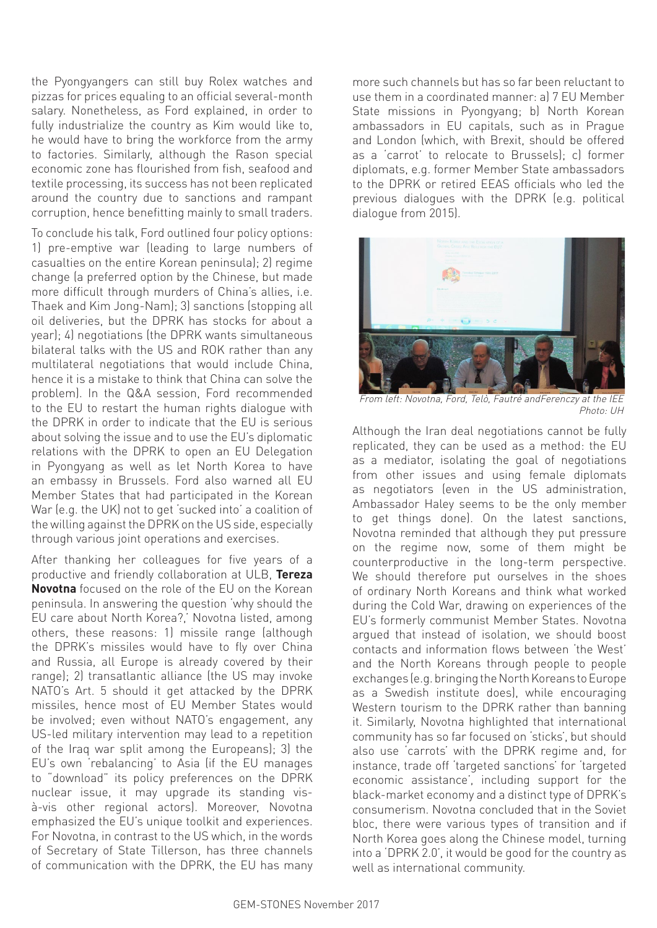the Pyongyangers can still buy Rolex watches and pizzas for prices equaling to an official several-month salary. Nonetheless, as Ford explained, in order to fully industrialize the country as Kim would like to, he would have to bring the workforce from the army to factories. Similarly, although the Rason special economic zone has flourished from fish, seafood and textile processing, its success has not been replicated around the country due to sanctions and rampant corruption, hence benefitting mainly to small traders.

To conclude his talk, Ford outlined four policy options: 1) pre-emptive war (leading to large numbers of casualties on the entire Korean peninsula); 2) regime change (a preferred option by the Chinese, but made more difficult through murders of China's allies, i.e. Thaek and Kim Jong-Nam); 3) sanctions (stopping all oil deliveries, but the DPRK has stocks for about a year); 4) negotiations (the DPRK wants simultaneous bilateral talks with the US and ROK rather than any multilateral negotiations that would include China, hence it is a mistake to think that China can solve the problem). In the Q&A session, Ford recommended to the EU to restart the human rights dialogue with the DPRK in order to indicate that the EU is serious about solving the issue and to use the EU's diplomatic relations with the DPRK to open an EU Delegation in Pyongyang as well as let North Korea to have an embassy in Brussels. Ford also warned all EU Member States that had participated in the Korean War (e.g. the UK) not to get 'sucked into' a coalition of the willing against the DPRK on the US side, especially through various joint operations and exercises.

After thanking her colleagues for five years of a productive and friendly collaboration at ULB, **Tereza Novotna** focused on the role of the EU on the Korean peninsula. In answering the question 'why should the EU care about North Korea?,' Novotna listed, among others, these reasons: 1) missile range (although the DPRK's missiles would have to fly over China and Russia, all Europe is already covered by their range); 2) transatlantic alliance (the US may invoke NATO's Art. 5 should it get attacked by the DPRK missiles, hence most of EU Member States would be involved; even without NATO's engagement, any US-led military intervention may lead to a repetition of the Iraq war split among the Europeans); 3) the EU's own 'rebalancing' to Asia (if the EU manages to "download" its policy preferences on the DPRK nuclear issue, it may upgrade its standing visà-vis other regional actors). Moreover, Novotna emphasized the EU's unique toolkit and experiences. For Novotna, in contrast to the US which, in the words of Secretary of State Tillerson, has three channels of communication with the DPRK, the EU has many

more such channels but has so far been reluctant to use them in a coordinated manner: a) 7 EU Member State missions in Pyongyang; b) North Korean ambassadors in EU capitals, such as in Prague and London (which, with Brexit, should be offered as a 'carrot' to relocate to Brussels); c) former diplomats, e.g. former Member State ambassadors to the DPRK or retired EEAS officials who led the previous dialogues with the DPRK (e.g. political dialogue from 2015).



From left: Novotna, Ford, Telò, Fautré andFerenczy at the IEE Photo: UH

Although the Iran deal negotiations cannot be fully replicated, they can be used as a method: the EU as a mediator, isolating the goal of negotiations from other issues and using female diplomats as negotiators (even in the US administration, Ambassador Haley seems to be the only member to get things done). On the latest sanctions, Novotna reminded that although they put pressure on the regime now, some of them might be counterproductive in the long-term perspective. We should therefore put ourselves in the shoes of ordinary North Koreans and think what worked during the Cold War, drawing on experiences of the EU's formerly communist Member States. Novotna argued that instead of isolation, we should boost contacts and information flows between 'the West' and the North Koreans through people to people exchanges (e.g. bringing the North Koreans to Europe as a Swedish institute does), while encouraging Western tourism to the DPRK rather than banning it. Similarly, Novotna highlighted that international community has so far focused on 'sticks', but should also use 'carrots' with the DPRK regime and, for instance, trade off 'targeted sanctions' for 'targeted economic assistance', including support for the black-market economy and a distinct type of DPRK's consumerism. Novotna concluded that in the Soviet bloc, there were various types of transition and if North Korea goes along the Chinese model, turning into a 'DPRK 2.0', it would be good for the country as well as international community.